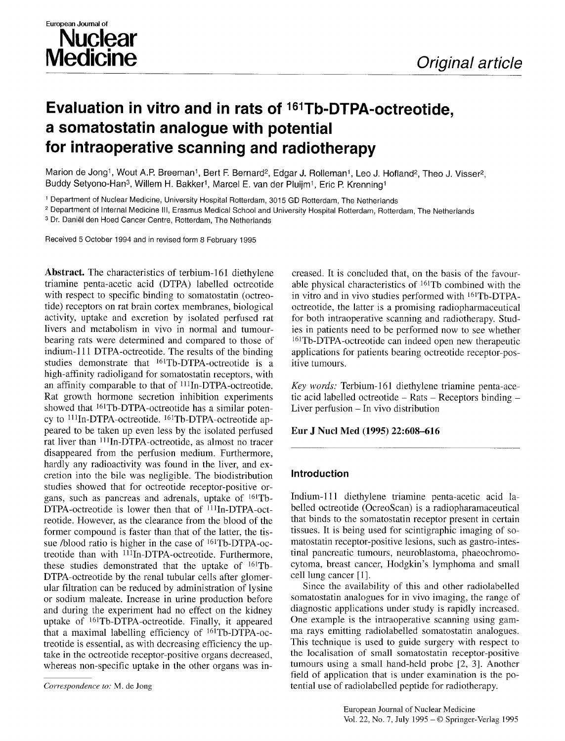# **Evaluation in vitro and in rats of 161Tb-DTPA-octreotide, a somatostatin analogue with potential for intraoperative scanning and radiotherapy**

Marion de Jong<sup>1</sup>, Wout A.P. Breeman<sup>1</sup>, Bert F. Bernard<sup>2</sup>, Edgar J. Rolleman<sup>1</sup>, Leo J. Hofland<sup>2</sup>, Theo J. Visser<sup>2</sup>, Buddy Setyono-Han<sup>3</sup>, Willem H. Bakker<sup>1</sup>, Marcel E. van der Pluijm<sup>1</sup>, Eric P. Krenning<sup>1</sup>

1 Department of Nuclear Medicine, University Hospital Rotterdam, 3015 GD Rotterdam, The Netherlands

<sup>2</sup> Department of Internal Medicine III, Erasmus Medical School and University Hospital Rotterdam, Rotterdam, The Netherlands

3 Dr. Daniel den Hoed Cancer Centre, Rotterdam, The Netherlands

Received 5 October 1994 and in revised form 8 February 1995

**Abstract.** The characteristics of terbium-161 diethylene triamine penta-acetic acid (DTPA) labelled octreotide with respect to specific binding to somatostatin (octreotide) receptors on rat brain cortex membranes, biological activity, uptake and excretion by isolated perfused rat livers and metabolism in vivo in normal and tumourbearing rats were determined and compared to those of indium-111 DTPA-octreotide. The results of the binding studies demonstrate that  $^{161}Tb$ -DTPA-octreotide is a high-affinity radioligand for somatostatin receptors, with an affinity comparable to that of <sup>111</sup>In-DTPA-octreotide. Rat growth hormone secretion inhibition experiments showed that  $^{161}$ Tb-DTPA-octreotide has a similar potency to  $^{111}$ In-DTPA-octreotide.  $^{161}$ Tb-DTPA-octreotide appeared to be taken up even less by the isolated perfused rat liver than  $111In-DTPA$ -octreotide, as almost no tracer disappeared from the perfusion medium. Furthermore, hardly any radioactivity was found in the liver, and excretion into the bile was negligible. The biodistribution studies showed that for octreotide receptor-positive organs, such as pancreas and adrenals, uptake of 161Tb-DTPA-octreotide is lower then that of <sup>111</sup>In-DTPA-octreotide. However, as the clearance from the blood of the former compound is faster than that of the latter, the tissue /blood ratio is higher in the case of  $161Tb-DTPA-oc$ treotide than with <sup>111</sup>In-DTPA-octreotide. Furthermore, these studies demonstrated that the uptake of  $^{161}$ Tb-DTPA-octreotide by the renal tubular cells after glomerular filtration can be reduced by administration of lysine or sodium maleate. Increase in urine production before and during the experiment had no effect on the kidney uptake of <sup>161</sup>Tb-DTPA-octreotide. Finally, it appeared that a maximal labelling efficiency of 161Tb-DTPA-octreotide is essential, as with decreasing efficiency the uptake in the octreotide receptor-positive organs decreased, whereas non-specific uptake in the other organs was increased. It is concluded that, on the basis of the favourable physical characteristics of  $^{161}$ Tb combined with the in vitro and in vivo studies performed with 161Tb-DTPAoctreotide, the latter is a promising radiopharmaceutical for both intraoperative scanning and radiotherapy. Studies in patients need to be performed now to see whether <sup>161</sup>Tb-DTPA-octreotide can indeed open new therapeutic applications for patients bearing octreotide receptor-positive tumours.

*Key words:* Terbium-161 diethylene triamine penta-acetic acid labelled octreotide  $-$  Rats  $-$  Receptors binding  $-$ Liver perfusion - In vivo distribution

## **Eur J Nucl Med (1995) 22:608-616**

## **Introduction**

Indium-Ill diethylene triamine penta-acetic acid labelled octreotide (OcreoScan) is a radiopharamaceutical that binds to the somatostatin receptor present in certain tissues. It is being used for scintigraphic imaging of somatostatin receptor-positive lesions, such as gastro-intestinal pancreatic tumours, neuroblastoma, phaeochromocytoma, breast cancer, Hodgkin's lymphoma and small cell lung cancer [1].

Since the availability of this and other radiolabelled somatostatin analogues for in vivo imaging, the range of diagnostic applications under study is rapidly increased. One example is the intraoperative scanning using gamma rays emitting radiolabelled somatostatin analogues. This technique is used to guide surgery with respect to the localisation of small somatostatin receptor-positive tumours using a small hand-held probe [2, 3]. Another field of application that is under examination is the potential use of radiolabelled peptide for radiotherapy.

*Correspondence to:* M. de Jong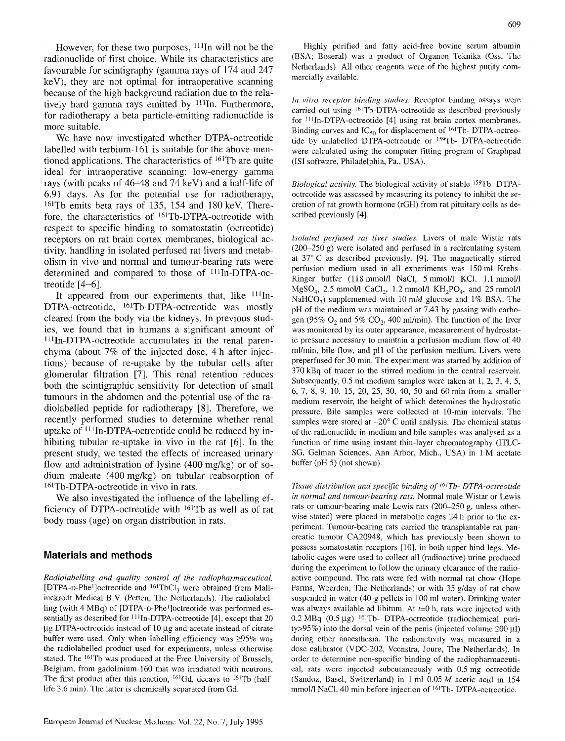However, for these two purposes, <sup>111</sup>In will not be the radionuclide of first choice. While its characteristics are favourable for scintigraphy (gamma rays of 174 and 247 keV), they are not optimal for intraoperative scanning because of the high background radiation due to the relatively hard gamma rays emitted by  $111$ In. Furthermore, for radiotherapy a beta particle-emitting radionuclide is more suitable.

We have now investigated whether DTPA-octreotide labelled with terbium-161 is suitable for the above-mentioned applications. The characteristics of 161Tb are quite ideal for intraoperative scanning: low-energy gamma rays (with peaks of 46-48 and 74 keV) and a half-life of 6.91 days. As for the potential use for radiotherapy, 161Tb emits beta rays of 135, 154 and 180 keV. Therefore, the characteristics of 161Tb-DTPA-octreotide with respect to specific binding to somatostatin (octreotide) receptors on rat brain cortex membranes, biological activity, handling in isolated perfused rat livers and metabolism in vivo and normal and tumour-bearing rats were determined and compared to those of  $^{111}$ In-DTPA-octreotide [4-6].

It appeared from our experiments that, like  $111$ In-DTPA-octreotide, <sup>161</sup>Tb-DTPA-octreotide was mostly cleared from the body via the kidneys. In previous studies, we found that in humans a significant amount of  $^{111}$ In-DTPA-octreotide accumulates in the renal parenchyma (about 7% of the injected dose, 4 h after injections) because of re-uptake by the tubular cells after glomerular filtration [7]. This renal retention reduces both the scintigraphic sensitivity for detection of small tumours in the abdomen and the potential use of the radiolabelled peptide for radiotherapy [8]. Therefore, we recently performed studies to determine whether renal uptake of  $111In-DTPA$ -octreotide could be reduced by inhibiting tubular re-uptake in vivo in the rat [6]. In the present study, we tested the effects of increased urinary flow and administration of lysine (400 mg/kg) or of sodium maleate (400 mg/kg) on tubular reabsorption of 161Tb-DTPA-octreotide in vivo in rats.

We also investigated the influence of the labelling efficiency of DTPA-octreotide with 161Tb as well as of rat body mass (age) on organ distribution in rats.

### **Materials and methods**

*Radiolabelling and quality control of the radiopharmaceutical.*  [DTPA-D-Phe<sup>1</sup>]octreotide and  $^{161}TbCl<sub>3</sub>$  were obtained from Mallinckrodt Medical B.V. (Petten, The Netherlands). The radiolabelling (with 4 MBq) of [DTPA-D-Phe<sup>1</sup>]octreotide was performed essentially as described for  $\frac{111}{In-DTPA}$ -octreotide [4], except that 20  $\mu$ g DTPA-octreotide instead of 10  $\mu$ g and acetate instead of citrate buffer were used. Only when labelling efficiency was  $\geq 95\%$  was the radiolabelled product used for experiments, unless otherwise stated. The 161Tb was produced at the Free University of Brussels, Belgium, from gadolinium-160 that was irradiated with neutrons. The first product after this reaction,  $^{161}$ Gd, decays to  $^{161}$ Tb (halflife 3.6 min). The latter is chemically separated from Gd.

Highly purified and fatty acid-free bovine serum albumin (BSA; Boseral) was a product of Organon Teknika (Oss, The Netherlands). All other reagents were of the highest purity commercially available.

*In vitro receptor binding studies.* Receptor binding assays were carried out using 161Tb-DTPA-octreotide as described previously for  $111$ In-DTPA-octreotide [4] using rat brain cortex membranes. Binding curves and  $IC_{50}$  for displacement of <sup>161</sup>Tb- DTPA-octreotide by unlabelled DTPA-octreotide or 159Tb- DTPA-octreotide were calculated using the computer fitting program of Graphpad (ISI software, Philadelphia, Pa., USA).

*Biological activity.* The biological activity of stable 159Tb- DTPAoctreotide was assessed by measuring its potency to inhibit the secretion of rat growth hormone (rGH) from rat pituitary cells as described previously [4].

*Isolated perfused rat liver studies.* Livers of male Wistar rats (200-250 g) were isolated and perfused in a recirculating system at 37°C as described previously. [9]. The magnetically stirred perfusion medium used in all experiments was 150 ml Krebs-Ringer buffer (118 mmol/l NaCl, 5 mmol/l KCl, 1.1 mmol/l  $MgSO<sub>4</sub>$ , 2.5 mmol/l CaCl<sub>2</sub>, 1.2 mmol/l  $KH<sub>2</sub>PO<sub>4</sub>$ , and 25 mmol/l NaHCO<sub>3</sub>) supplemented with 10 mM glucose and 1% BSA. The pH of the medium was maintained at 7.43 by gassing with carbogen (95%  $O_2$  and 5%  $CO_2$ , 400 ml/min). The function of the liver was monitored by its outer appearance, measurement of hydrostatic pressure necessary to maintain a perfusion medium flow of 40 ml/min, bile flow, and pH of the perfusion medium. Livers were preperfused for 30 min. The experiment was started by addition of 370 kBq of tracer to the stirred medium in the central reservoir. Subsequently, 0.5 ml medium samples were taken at l, 2, 3, 4, 5, 6, 7, 8, 9, 10, 15, 20, 25, 30, 40, 50 and 60 min from a smaller medium reservoir, the height of which determines the hydrostatic pressure. Bile samples were collected at 10-min intervals. The samples were stored at  $-20^{\circ}$  C until analysis. The chemical status of the radionuclide in medium and bile samples was analysed as a function of time using instant thin-layer chromatography (ITLC-SG, Gelman Sciences, Ann Arbor, Mich., USA) in 1 M acetate buffer (pH 5) (not shown).

*Tissue distribution and specific binding of J61Tb- DTPA-octreotide in normal and tumour-bearing rats.* Normal male Wistar or Lewis rats or tumour-bearing male Lewis rats (200-250 g, unless otherwise stated) were placed in metabolic cages 24 h prior to the experiment. Tumour-bearing rats carried the transplantable rat pancreatic tumour CA20948, which has previously been shown to possess somatostatin receptors [10], in both upper hind legs. Metabolic cages were used to collect all (radioactive) urine produced during the experiment to follow the urinary clearance of the radioactive compound. The rats were fed with normal rat chow (Hope Farms, Woerden, The Netherlands) or with 35 g/day of rat chow suspended in water (40-g pellets in 100 ml water). Drinking water was always available ad libitum. At  $t=0$  h, rats were injected with  $0.2$  MBq  $(0.5 \mu g)$  <sup>161</sup>Tb- DTPA-octreotide (radiochemical purity $>95\%$ ) into the dorsal vein of the penis (injected volume 200 µl) during ether anaesthesia. The radioactivity was measured in a dose calibrator (VDC-202, Veenstra, Jonre, The Netherlands). In order to determine non-specific binding of the radiopharmaceutical, rats were injected subcutaneously with 0.5 mg octreotide (Sandoz, Basel, Switzerland) in 1 ml  $0.05 M$  acetic acid in 154 mmol/l NaCl, 40 min before injection of <sup>161</sup>Tb- DTPA-octreotide.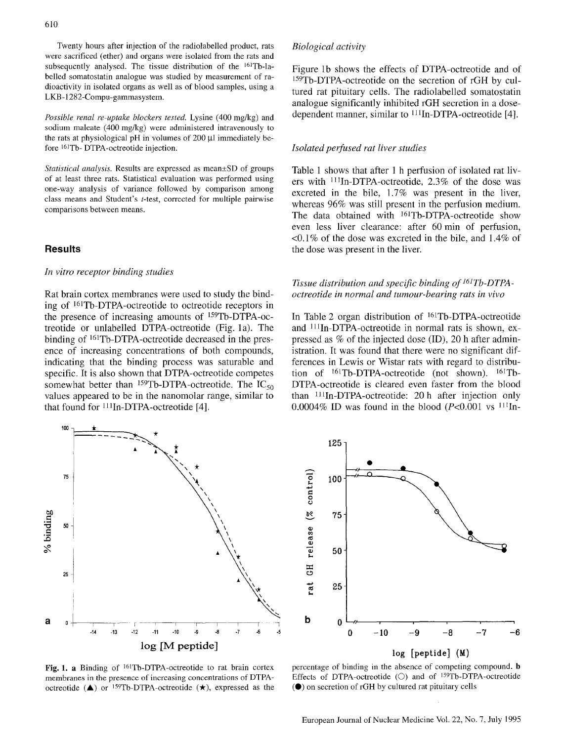Twenty hours after injection of the radiolabelled product, rats were sacrificed (ether) and organs were isolated from the rats and subsequently analysed. The tissue distribution of the  $161Tb$ -labelled somatostatin analogue was studied by measurement of radioactivity in isolated organs as well as of blood samples, using a LKB- 1282-Compu-gammasystem.

*Possible renal re-uptake blockers tested.* Lysine (400 mg/kg) and sodium maleate (400 mg/kg) were administered intravenously to the rats at physiological pH in volumes of 200 µ immediately before 161Tb- DTPA-octreotide injection.

*Statistical analysis.* Results are expressed as mean $\pm$ SD of groups of at least three rats. Statistical evaluation was performed using one-way analysis of variance followed by comparison among class means and Student's t-test, corrected for multiple pairwise comparisons between means.

## **Results**

#### *In vitro receptor binding studies*

Rat brain cortex membranes were used to study the binding of <sup>161</sup>Tb-DTPA-octreotide to octreotide receptors in the presence of increasing amounts of  $159Tb-DTPA-oc$ treotide or unlabelled DTPA-octreotide (Fig. la). The binding of 161Tb-DTPA-octreotide decreased in the presence of increasing concentrations of both compounds, indicating that the binding process was saturable and specific. It is also shown that DTPA-octreotide competes somewhat better than <sup>159</sup>Tb-DTPA-octreotide. The  $IC_{50}$ values appeared to be in the nanomolar range, similar to that found for  $111$ In-DTPA-octreotide [4].

*Biological activity* 

Figure lb shows the effects of DTPA-octreotide and of 159Tb-DTPA-octreotide on the secretion of rGH by cultured rat pituitary cells. The radiolabelled somatostatin analogue significantly inhibited rGH secretion in a dosedependent manner, similar to <sup>111</sup>In-DTPA-octreotide [4].

#### *Isolated perfused rat liver studies*

Table 1 shows that after 1 h perfusion of isolated rat livers with <sup>111</sup>In-DTPA-octreotide, 2.3% of the dose was excreted in the bile, 1.7% was present in the liver, whereas 96% was still present in the perfusion medium. The data obtained with <sup>161</sup>Tb-DTPA-octreotide show even less liver clearance: after 60 min of perfusion, <0.1% of the dose was excreted in the bile, and 1.4% of the dose was present in the liver.

## *Tissue distribution and specific binding of <sup>161</sup>Tb-DTPAoctreotide in normal and tumour-bearing rats in vivo*

In Table 2 organ distribution of  $^{161}$ Tb-DTPA-octreotide and <sup>111</sup>In-DTPA-octreotide in normal rats is shown, expressed as % of the injected dose (ID), 20 h after administration. It was found that there were no significant differences in Lewis or Wistar rats with regard to distribution of <sup>161</sup>Tb-DTPA-octreotide (not shown). <sup>161</sup>Tb-DTPA-octreotide is cleared even faster from the blood than  $111In-DTPA-octreotide$ : 20 h after injection only 0.0004% ID was found in the blood ( $P<0.001$  vs  $^{111}$ In-



Fig. 1. a Binding of <sup>161</sup>Tb-DTPA-octreotide to rat brain cortex membranes in the presence of increasing concentrations of DTPAoctreotide ( $\triangle$ ) or <sup>159</sup>Tb-DTPA-octreotide ( $\star$ ), expressed as the



percentage of binding in the absence of competing compound, h Effects of DTPA-octreotide (O) and of <sup>159</sup>Tb-DTPA-octreotide  $\odot$ ) on secretion of rGH by cultured rat pituitary cells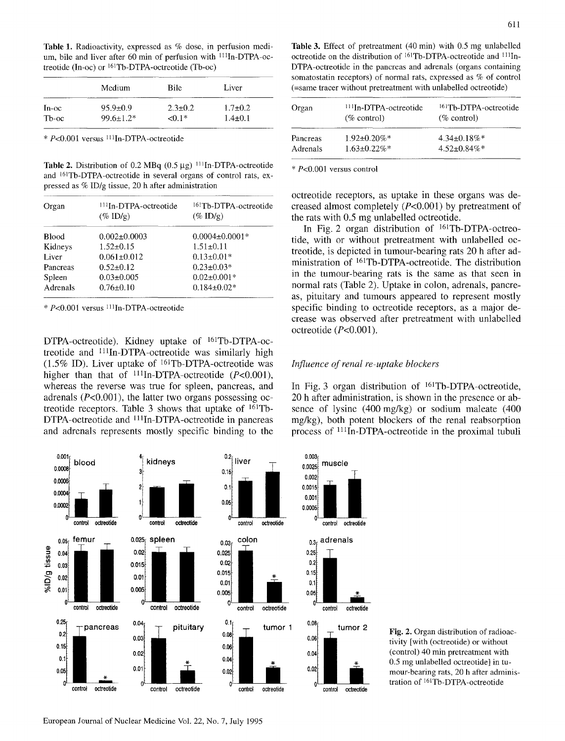Table 1. Radioactivity, expressed as % dose, in perfusion medium, bile and liver after 60 min of perfusion with <sup>111</sup>In-DTPA-octreotide  $(In-oc)$  or  $161Tb-DTPA-octreotide$  (Tb-oc)

|       | Medium          | <b>Bile</b> | Liver         |
|-------|-----------------|-------------|---------------|
| In-oc | $95.9 \pm 0.9$  | $2.3 + 0.2$ | $1.7 + 0.2$   |
| Th-oc | $99.6 \pm 1.2*$ | <0 1*       | $1.4 \pm 0.1$ |

• P<0.001 versus 1HIn-DTPA-octreotide

Table 2. Distribution of 0.2 MBq  $(0.5 \mu g)$  <sup>111</sup>In-DTPA-octreotide and <sup>161</sup>Tb-DTPA-octreotide in several organs of control rats, expressed as % ID/g tissue, 20 h after administration

| Organ        | <sup>111</sup> In-DTPA-octreotide<br>$(\%$ ID/g) | <sup>161</sup> Tb-DTPA-octreotide<br>$(\%$ ID/g) |
|--------------|--------------------------------------------------|--------------------------------------------------|
| <b>Blood</b> | $0.002 \pm 0.0003$                               | $0.0004 \pm 0.0001*$                             |
| Kidneys      | $1.52 \pm 0.15$                                  | $1.51 \pm 0.11$                                  |
| Liver        | $0.061 \pm 0.012$                                | $0.13 \pm 0.01*$                                 |
| Pancreas     | $0.52 \pm 0.12$                                  | $0.23 \pm 0.03*$                                 |
| Spleen       | $0.03 \pm 0.005$                                 | $0.02 \pm 0.001*$                                |
| Adrenals     | $0.76 \pm 0.10$                                  | $0.184 \pm 0.02*$                                |
|              |                                                  |                                                  |

\* P<O.001 versus 111 ln-DTPA-octreotide

DTPA-octreotide). Kidney uptake of 161Tb-DTPA-octreotide and <sup>111</sup>In-DTPA-octreotide was similarly high *(1.5%* ID). Liver uptake of 161Tb-DTPA-octreotide was higher than that of  $^{111}$ In-DTPA-octreotide (P<0.001), whereas the reverse was true for spleen, pancreas, and adrenals  $(P<0.001)$ , the latter two organs possessing octreotide receptors. Table 3 shows that uptake of  $161Tb-$ DTPA-octreotide and <sup>111</sup>In-DTPA-octreotide in pancreas and adrenals represents mostly specific binding to the



tivity [with (octreotide) or without (control) 40 min pretreatment with 0.5 mg unlabelled octreotide] in tumour-bearing rats, 20 h after administration of 161Tb-DTPA-octreotide

Fig. 2. Organ distribution of radioac-

| Organ    | $111$ In-DTPA-octreotide<br>$(\%$ control) | <sup>161</sup> Th-DTPA-octreotide<br>$(\%$ control) |
|----------|--------------------------------------------|-----------------------------------------------------|
| Pancreas | $1.92 \pm 0.20\%$ *                        | $4.34 + 0.18\%$ *                                   |
| Adrenals | $1.63 \pm 0.22\%$ *                        | $4.52 \pm 0.84\%$                                   |

\* P<0.001 versus control

octreotide receptors, as uptake in these organs was decreased almost completely (P<0.001) by pretreatment of the rats with 0.5 mg unlabelled octreotide.

In Fig. 2 organ distribution of  $161$ Tb-DTPA-octreotide, with or without pretreatment with unlabelled octreotide, is depicted in tumour-bearing rats 20 h after administration of 161Tb-DTPA-octreotide. The distribution in the tumour-bearing rats is the same as that seen in normal rats (Table 2). Uptake in colon, adrenals, pancreas, pituitary and tumours appeared to represent mostly specific binding to octreotide receptors, as a major decrease was observed after pretreatment with unlabelled octreotide (P<0.001).

### *Influence of renal re-uptake blockers*

In Fig. 3 organ distribution of 161Tb-DTPA-octreotide, 20 h after administration, is shown in the presence or absence of lysine (400 mg/kg) or sodium maleate (400 mg/kg), both potent blockers of the renal reabsorption process of <sup>111</sup>In-DTPA-octreotide in the proximal tubuli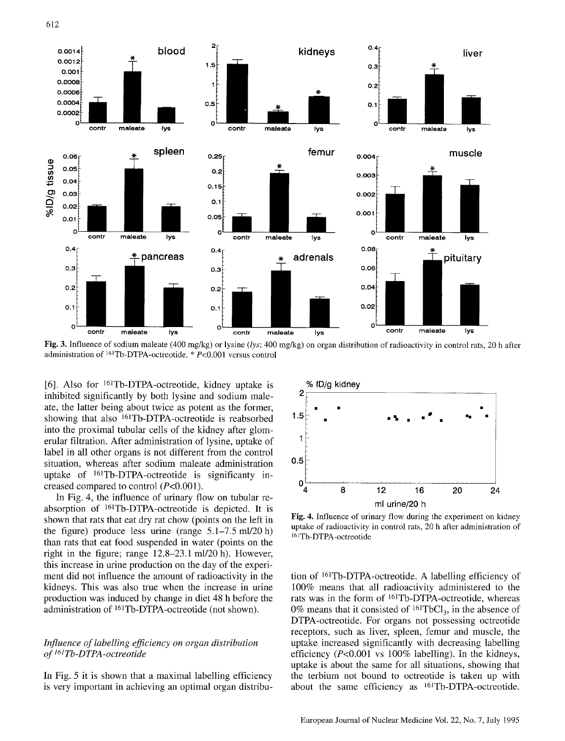

Fig. 3. Influence of sodium maleate (400 mg/kg) or lysine *(lys;* 400 mg/kg) on organ distribution of radioactivity in control rats, 20 h after administration of 161Tb-DTPA-octreotide. \* P<0.001 versus control

[6]. Also for 161Tb-DTPA-octreotide, kidney uptake is inhibited significantly by both lysine and sodium maleate, the latter being about twice as potent as the former, showing that also 161Tb-DTPA-octreotide is reabsorbed into the proximal tubular cells of the kidney after glomerular filtration. After administration of lysine, uptake of label in all other organs is not different from the control situation, whereas after sodium maleate administration uptake of 161Tb-DTPA-octreotide is significanty increased compared to control  $(P<0.001)$ .

In Fig. 4, the influence of urinary flow on tubular reabsorption of i61Tb-DTPA-octreotide is depicted. It is shown that rats that eat dry rat chow (points on the left in the figure) produce less urine (range  $5.1-7.5$  ml/20 h) than rats that eat food suspended in water (points on the right in the figure; range 12.8-23.1 ml/20 h). However, this increase in urine production on the day of the experiment did not influence the amount of radioactivity in the kidneys. This was also true when the increase in urine production was induced by change in diet 48 h before the administration of 161Tb-DTPA-octreotide (not shown).

### *Influence of labelling efficiency on organ distribution <sup>161</sup>of Tb-DTPA-octreotide*

In Fig. 5 it is shown that a maximal labelling efficiency is very important in achieving an optimal organ distribu-



Fig. 4. Influence of urinary flow during the experiment on kidney uptake of radioactivity in control rats, 20 h after administration of 16]Tb\_DTPA\_octreotide

tion of 161Tb-DTPA-octreotide. A labelling efficiency of 100% means that all radioactivity administered to the rats was in the form of 161Tb-DTPA-octreotide, whereas 0% means that it consisted of  $161 \text{TbCl}_3$ , in the absence of DTPA-octreotide. For organs not possessing octreotide receptors, such as liver, spleen, femur and muscle, the uptake increased significantly with decreasing labelling efficiency ( $P<0.001$  vs 100% labelling). In the kidneys, uptake is about the same for all situations, showing that the terbium not bound to octreotide is taken up with about the same efficiency as <sup>161</sup>Tb-DTPA-octreotide.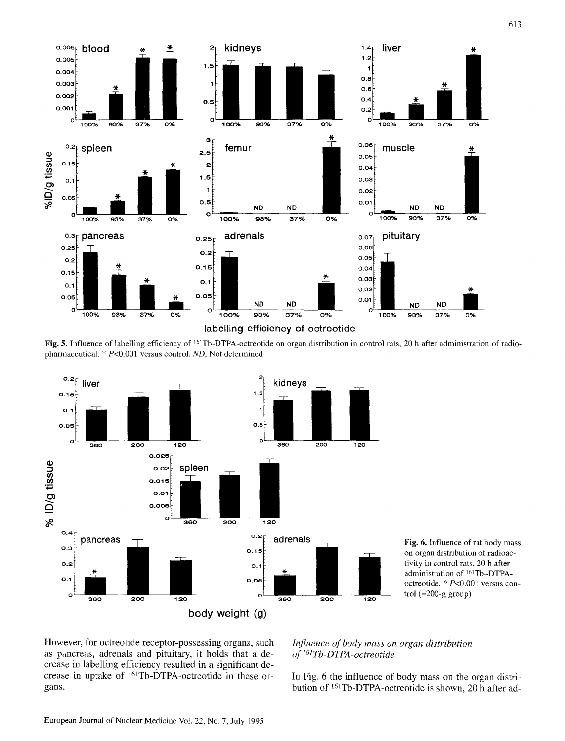

Fig. 5. Influence of labelling efficiency of <sup>161</sup>Tb-DTPA-octreotide on organ distribution in control rats, 20 h after administration of radiopharmaceutical. \* P<0.001 versus control. *ND,* Not determined



Fig. 6. Influence of rat body mass on organ distribution of radioactivity in control rats, 20 h after administration of 161Tb-DTPAoctreotide. \* P<0.001 versus control (=200-g group)

However, for octreotide receptor-possessing organs, such as pancreas, adrenals and pituitary, it holds that a decrease in labelling efficiency resulted in a significant decrease in uptake of <sup>161</sup>Tb-DTPA-octreotide in these organs.

## *Influence of body mass on organ distribution of 161Tb-DTPA-octreotide*

**In Fig. 6 the influence of body mass on the organ distribution of 161Tb-DTPA-octreotide is shown, 20 h after ad-**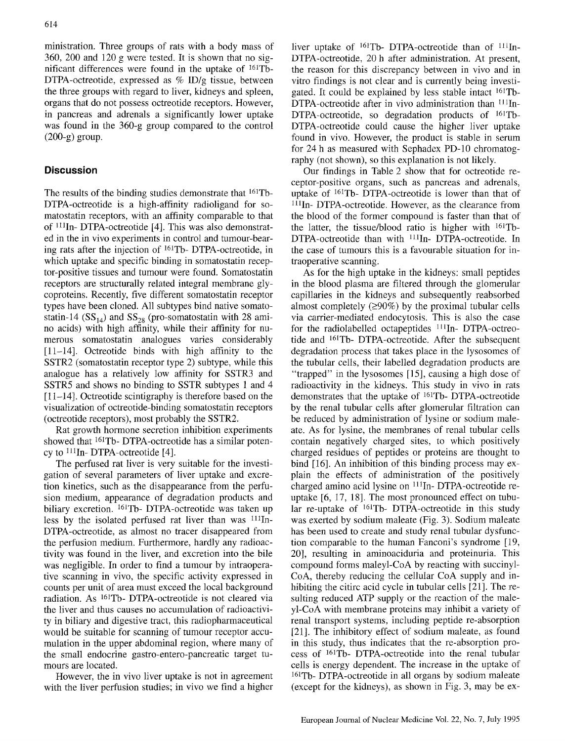ministration. Three groups of rats with a body mass of 360, 200 and 120 g were tested. It is shown that no significant differences were found in the uptake of  $161Tb-$ DTPA-octreotide, expressed as % ID/g tissue, between the three groups with regard to liver, kidneys and spleen, organs that do not possess octreotide receptors. However, in pancreas and adrenals a significantly lower uptake was found in the 360-g group compared to the control (200-g) group.

# **Discussion**

The results of the binding studies demonstrate that 161Tb-DTPA-octreotide is a high-affinity radioligand for somatostatin receptors, with an affinity comparable to that of 111In- DTPA-octreotide [4]. This was also demonstrated in the in vivo experiments in control and tumour-bearing rats after the injection of 161Tb- DTPA-octreotide, in which uptake and specific binding in somatostatin receptor-positive tissues and tumour were found. Somatostatin receptors are structurally related integral membrane glycoproteins. Recently, five different somatostatin receptor types have been cloned. All subtypes bind native somatostatin-14 ( $SS<sub>14</sub>$ ) and  $SS<sub>28</sub>$  (pro-somatostatin with 28 amino acids) with high affinity, while their affinity for numerous somatostatin analogues varies considerably [11-14]. Octreotide binds with high affinity to the SSTR2 (somatostatin receptor type 2) subtype, while this analogue has a relatively low affinity for SSTR3 and SSTR5 and shows no binding to SSTR subtypes 1 and 4 [11-14]. Octreotide scintigraphy is therefore based on the visualization of octreotide-binding somatostatin receptors (octreotide receptors), most probably the SSTR2.

Rat growth hormone secretion inhibition experiments showed that 161Tb- DTPA-octreotide has a similar potency to  $^{111}$ In-DTPA-octreotide [4].

The perfused rat liver is very suitable for the investigation of several parameters of liver uptake and excretion kinetics, such as the disappearance from the perfusion medium, appearance of degradation products and biliary excretion. <sup>161</sup>Tb- DTPA-octreotide was taken up less by the isolated perfused rat liver than was  $111$ In-DTPA-octreotide, as almost no tracer disappeared from the perfusion medium. Furthermore, hardly any radioactivity was found in the liver, and excretion into the bile was negligible. In order to find a tumour by intraoperative scanning in vivo, the specific activity expressed in counts per unit of area must exceed the local background radiation. As 161Tb- DTPA-octreotide is not cleared via the liver and thus causes no accumulation of radioactivity in biliary and digestive tract, this radiopharmaceutical would be suitable for scanning of tumour receptor accumulation in the upper abdominal region, where many of the small endocrine gastro-entero-pancreatic target tumours are located.

However, the in vivo liver uptake is not in agreement with the liver perfusion studies; in vivo we find a higher liver uptake of  $^{161}$ Tb- DTPA-octreotide than of  $^{111}$ In-DTPA-octreotide, 20 h after administration. At present, the reason for this discrepancy between in vivo and in vitro findings is not clear and is currently being investigated. It could be explained by less stable intact 161Tb- $DTPA-octreotide$  after in vivo administration than  $^{111}$ In- $DTPA$ -octreotide, so degradation products of  $^{161}Tb$ -DTPA-octreotide could cause the higher liver uptake found in vivo. However, the product is stable in serum for 24 h as measured with Sephadex PD-10 chromatography (not shown), so this explanation is not likely.

Our findings in Table 2 show that for octreotide receptor-positive organs, such as pancreas and adrenals, uptake of  $161$ Tb- DTPA-octreotide is lower than that of  $111$ In- DTPA-octreotide. However, as the clearance from the blood of the former compound is faster than that of the latter, the tissue/blood ratio is higher with  $161Tb-$ DTPA-octreotide than with <sup>111</sup>In- DTPA-octreotide. In the case of tumours this is a favourable situation for intraoperative scanning.

As for the high uptake in the kidneys: small peptides in the blood plasma are filtered through the glomerular capillaries in the kidneys and subsequently reabsorbed almost completely  $(290\%)$  by the proximal tubular cells via carrier-mediated endocytosis. This is also the case for the radiolabelled octapeptides  $111$ In- DTPA-octreotide and 161Tb- DTPA-octreotide. After the subsequent degradation process that takes place in the lysosomes of the tubular cells, their labelled degradation products are "trapped" in the lysosomes [15], causing a high dose of radioactivity in the kidneys. This study in vivo in rats demonstrates that the uptake of 161Tb- DTPA-octreotide by the renal tubular cells after glomerular filtration can be reduced by administration of lysine or sodium maleate. As for lysine, the membranes of renal tubular cells contain negatively charged sites, to which positively charged residues of peptides or proteins are thought to bind [16]. An inhibition of this binding process may explain the effects of administration of the positively charged amino acid lysine on  $111$ In- DTPA-octreotide reuptake [6, 17, 18]. The most pronounced effect on tubular re-uptake of 161Tb- DTPA-octreotide in this study was exerted by sodium maleate (Fig. 3). Sodium maleate has been used to create and study renal tubular dysfunction comparable to the human Fanconi's syndrome [19, 20], resulting in aminoaciduria and proteinuria. This compound forms maleyl-CoA by reacting with succinyl-CoA, thereby reducing the cellular CoA supply and inhibiting the citirc acid cycle in tubular cells [21]. The resulting reduced ATP supply or the reaction of the maleyl-CoA with membrane proteins may inhibit a variety of renal transport systems, including peptide re-absorption [21]. The inhibitory effect of sodium maleate, as found in this study, thus indicates that the re-absorption process of <sup>161</sup>Tb- DTPA-octreotide into the renal tubular cells is energy dependent. The increase in the uptake of i61Tb- DTPA-octreotide in all organs by sodium maleate (except for the kidneys), as shown in Fig. 3, may be ex-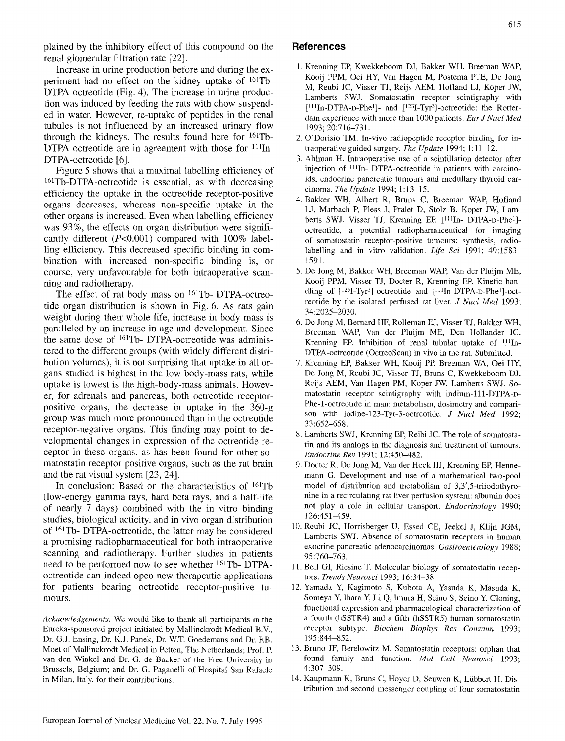615

plained by the inhibitory effect of this compound on the renal glomerular filtration rate [22].

Increase in urine production before and during the experiment had no effect on the kidney uptake of 161Tb-DTPA-octreotide (Fig. 4). The increase in urine production was induced by feeding the rats with chow suspended in water. However, re-uptake of peptides in the renal tubules is not influenced by an increased urinary flow through the kidneys. The results found here for 161Tb-DTPA-octreotide are in agreement with those for  $111$ In-DTPA-octreotide [6].

Figure 5 shows that a maximal labelling efficiency of 161Tb-DTPA-octreotide is essential, as with decreasing efficiency the uptake in the octreotide receptor-positive organs decreases, whereas non-specific uptake in the other organs is increased. Even when labelling efficiency was 93%, the effects on organ distribution were significantly different  $(P<0.001)$  compared with 100% labelling efficiency. This decreased specific binding in combination with increased non-specific binding is, or course, very unfavourable for both intraoperative scanning and radiotherapy.

The effect of rat body mass on 161Tb- DTPA-octreotide organ distribution is shown in Fig. 6. As rats gain weight during their whole life, increase in body mass is paralleled by an increase in age and development. Since the same dose of 161Tb- DTPA-octreotide was administered to the different groups (with widely different distribution volumes), it is not surprising that uptake in all organs studied is highest in the low-body-mass rats, while uptake is lowest is the high-body-mass animals. However, for adrenals and pancreas, both octreotide receptorpositive organs, the decrease in uptake in the 360-g group was much more pronounced than in the octreotide receptor-negative organs. This finding may point to developmental changes in expression of the octreotide receptor in these organs, as has been found for other somatostatin receptor-positive organs, such as the rat brain and the rat visual system [23, 24].

In conclusion: Based on the characteristics of  $^{161}Tb$ (low-energy gamma rays, hard beta rays, and a half-life of nearly 7 days) combined with the in vitro binding studies, biological acticity, and in vivo organ distribution of 161Tb- DTPA-octreotide, the latter may be considered a promising radiopharmaceutical for both intraoperative scanning and radiotherapy. Further studies in patients need to be performed now to see whether 161Tb- DTPAoctreotide can indeed open new therapeutic applications for patients bearing octreotide receptor-positive tumours.

*Acknowledgements.* We would like to thank all participants in the Eureka-sponsored project initiated by Mallinckrodt Medical B.V., Dr. G.J. Ensing, Dr. K.J. Panek, Dr. W.T. Goedemans and Dr. F.B. Moet of Mallinckrodt Medical in Petten, The Netherlands; Prof. R van den Winkel and Dr. G. de Backer of the Free University in Brussels, Belgium; and Dr. G. Paganelli of Hospital San Rafaele in Milan, Italy, for their contributions.

# **References**

- 1. Krenning EP, Kwekkeboom DJ, Bakker WH, Breeman WAR Kooij PPM, Oei HY, Van Hagen M, Postema PTE, De Jong M, Reubi JC, Visser TJ, Reijs AEM, Hofland LJ, Koper JW, Lamberts SWJ. Somatostatin receptor scintigraphy with  $[111]$ In-DTPA-D-Phe<sup>1</sup>]- and  $[123]$ -Tyr<sup>3</sup>]-octreotide: the Rotterdam experience with more than 1000 patients. *Eur J Nucl Med*  1993; 20:716-731.
- 2. O'Dorisio TM. In-vivo radiopeptide receptor binding for intraoperative guided surgery. *The Update* 1994; 1:11-12.
- 3. Ahlman H. Intraoperative use of a scintillation detector after injection of 1Ilin- DTPA-octreotide in patients with carcinoids, endocrine pancreatic tumours and medullary thyroid carcinoma. *The Update* 1994; 1:13-15.
- 4. Bakker WH, Albert R, Bruns C, Breeman WAR Hofland LJ, Marbach P, Pless J, Pralet D, Stolz B, Koper JW, Lamberts SWJ, Visser TJ, Krenning EP, [111In- DTPA-D-Phe<sup>1</sup>]octreotide, a potential radiopharmaceutical for imaging of somatostatin receptor-positive tumours: synthesis, radiolabelling and in vitro validation. *Life Sci* 1991; 49:1583- 1591.
- 5. De Jong M, Bakker WH, Breeman WAR Van der Pluijm ME, Kooij PPM, Visser TJ, Docter R, Krenning ER Kinetic handling of [125I-Tyr3]-octreotide and [lllIn-DTPA-D-Phel]-octreotide by the isolated perfused rat liver. *J Nucl Med* 1993; 34:2025-2030.
- 6. De Jong M, Bernard HE Rolleman EJ, Visser TJ, Bakker WH, Breeman WAP, Van der Pluijm ME, Den Hollander JC, Krenning EP. Inhibition of renal tubular uptake of  $111$ In-DTPA-octreotide (OctreoScan) in vivo in the rat. Submitted.
- 7. Krenning ER Bakker WH, Kooij PR Breeman WA, Oei HY, De Jong M, Reubi JC, Visser TJ, Bruns C, Kwekkeboom DJ, Reijs AEM, Van Hagen PM, Koper JW, Lamberts SWJ. Somatostatin receptor scintigraphy with indium-lll-DTPA-D-Phe-l-octreotide in man: metabolism, dosimetry and comparison with iodine-123-Tyr-3-octreotide. *J Nucl Med* 1992; 33:652-658.
- 8. Lamberts SWJ, Krenning EP, Reibi JC. The role of somatostatin and its analogs in the diagnosis and treatment of tumours. *Endocrine Rev* 1991; 12:450-482.
- 9. Docter R, De Jong M, Van der Hoek HJ, Krenning EP, Hennemann G. Development and use of a mathematical two-pool model of distribution and metabolism of 3,3',5-triiodothyronine in a recirculating rat liver perfusion system: albumin does not play a role in cellular transport. *Endocrinology* 1990; 126:451-459.
- 10. Reubi JC, Horrisberger U, Essed CE, Jeekel J, Klijn JGM, Lamberts SWJ. Absence of somatostatin receptors in human exocrine pancreatic adenocarcinomas. *Gastroenterology* 1988; 95:760-763.
- 11. Bell GI, Riesine T. Molecular biology of somatostatin receptors. *Trends Neurosci* 1993; 16:34-38.
- 12. Yamada Y, Kagimoto S, Kubota A, Yasuda K, Masuda K, Someya Y, Ihara Y, Li Q, Imura H, Seino S, Seino Y. Cloning, functional expression and pharmacological characterization of a fourth (hSSTR4) and a fifth (hSSTR5) human somatostatin receptor subtype. *Biochem Biophys Res Commun* 1993; 195:844-852.
- 13. Bruno JF, Berelowitz M. Somatostatin receptors: orphan that found family and function. *Mol Cell Neurosci* 1993; 4:307-309.
- 14. Kaupmann K, Bruns C, Hoyer D, Seuwen K, Lübbert H. Distribution and second messenger coupling of four somatostatin